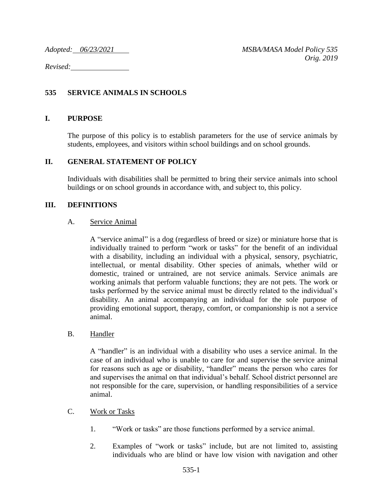*Revised:* 

# **535 SERVICE ANIMALS IN SCHOOLS**

### **I. PURPOSE**

The purpose of this policy is to establish parameters for the use of service animals by students, employees, and visitors within school buildings and on school grounds.

### **II. GENERAL STATEMENT OF POLICY**

Individuals with disabilities shall be permitted to bring their service animals into school buildings or on school grounds in accordance with, and subject to, this policy.

### **III. DEFINITIONS**

### A. Service Animal

A "service animal" is a dog (regardless of breed or size) or miniature horse that is individually trained to perform "work or tasks" for the benefit of an individual with a disability, including an individual with a physical, sensory, psychiatric, intellectual, or mental disability. Other species of animals, whether wild or domestic, trained or untrained, are not service animals. Service animals are working animals that perform valuable functions; they are not pets. The work or tasks performed by the service animal must be directly related to the individual's disability. An animal accompanying an individual for the sole purpose of providing emotional support, therapy, comfort, or companionship is not a service animal.

### B. Handler

A "handler" is an individual with a disability who uses a service animal. In the case of an individual who is unable to care for and supervise the service animal for reasons such as age or disability, "handler" means the person who cares for and supervises the animal on that individual's behalf. School district personnel are not responsible for the care, supervision, or handling responsibilities of a service animal.

- C. Work or Tasks
	- 1. "Work or tasks" are those functions performed by a service animal.
	- 2. Examples of "work or tasks" include, but are not limited to, assisting individuals who are blind or have low vision with navigation and other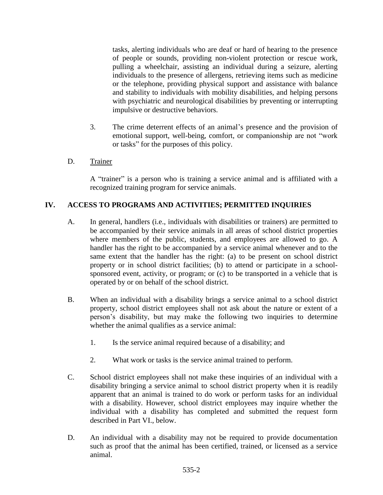tasks, alerting individuals who are deaf or hard of hearing to the presence of people or sounds, providing non-violent protection or rescue work, pulling a wheelchair, assisting an individual during a seizure, alerting individuals to the presence of allergens, retrieving items such as medicine or the telephone, providing physical support and assistance with balance and stability to individuals with mobility disabilities, and helping persons with psychiatric and neurological disabilities by preventing or interrupting impulsive or destructive behaviors.

- 3. The crime deterrent effects of an animal's presence and the provision of emotional support, well-being, comfort, or companionship are not "work or tasks" for the purposes of this policy.
- D. Trainer

A "trainer" is a person who is training a service animal and is affiliated with a recognized training program for service animals.

# **IV. ACCESS TO PROGRAMS AND ACTIVITIES; PERMITTED INQUIRIES**

- A. In general, handlers (i.e., individuals with disabilities or trainers) are permitted to be accompanied by their service animals in all areas of school district properties where members of the public, students, and employees are allowed to go. A handler has the right to be accompanied by a service animal whenever and to the same extent that the handler has the right: (a) to be present on school district property or in school district facilities; (b) to attend or participate in a schoolsponsored event, activity, or program; or (c) to be transported in a vehicle that is operated by or on behalf of the school district.
- B. When an individual with a disability brings a service animal to a school district property, school district employees shall not ask about the nature or extent of a person's disability, but may make the following two inquiries to determine whether the animal qualifies as a service animal:
	- 1. Is the service animal required because of a disability; and
	- 2. What work or tasks is the service animal trained to perform.
- C. School district employees shall not make these inquiries of an individual with a disability bringing a service animal to school district property when it is readily apparent that an animal is trained to do work or perform tasks for an individual with a disability. However, school district employees may inquire whether the individual with a disability has completed and submitted the request form described in Part VI., below.
- D. An individual with a disability may not be required to provide documentation such as proof that the animal has been certified, trained, or licensed as a service animal.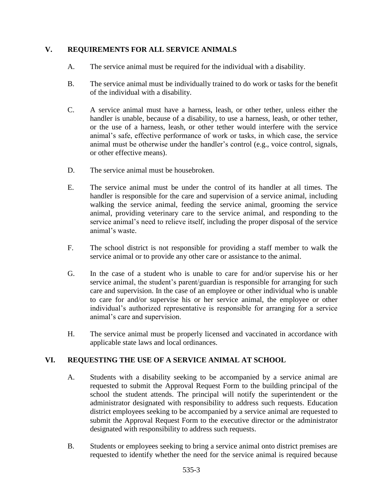## **V. REQUIREMENTS FOR ALL SERVICE ANIMALS**

- A. The service animal must be required for the individual with a disability.
- B. The service animal must be individually trained to do work or tasks for the benefit of the individual with a disability.
- C. A service animal must have a harness, leash, or other tether, unless either the handler is unable, because of a disability, to use a harness, leash, or other tether, or the use of a harness, leash, or other tether would interfere with the service animal's safe, effective performance of work or tasks, in which case, the service animal must be otherwise under the handler's control (e.g., voice control, signals, or other effective means).
- D. The service animal must be housebroken.
- E. The service animal must be under the control of its handler at all times. The handler is responsible for the care and supervision of a service animal, including walking the service animal, feeding the service animal, grooming the service animal, providing veterinary care to the service animal, and responding to the service animal's need to relieve itself, including the proper disposal of the service animal's waste.
- F. The school district is not responsible for providing a staff member to walk the service animal or to provide any other care or assistance to the animal.
- G. In the case of a student who is unable to care for and/or supervise his or her service animal, the student's parent/guardian is responsible for arranging for such care and supervision. In the case of an employee or other individual who is unable to care for and/or supervise his or her service animal, the employee or other individual's authorized representative is responsible for arranging for a service animal's care and supervision.
- H. The service animal must be properly licensed and vaccinated in accordance with applicable state laws and local ordinances.

# **VI. REQUESTING THE USE OF A SERVICE ANIMAL AT SCHOOL**

- A. Students with a disability seeking to be accompanied by a service animal are requested to submit the Approval Request Form to the building principal of the school the student attends. The principal will notify the superintendent or the administrator designated with responsibility to address such requests. Education district employees seeking to be accompanied by a service animal are requested to submit the Approval Request Form to the executive director or the administrator designated with responsibility to address such requests.
- B. Students or employees seeking to bring a service animal onto district premises are requested to identify whether the need for the service animal is required because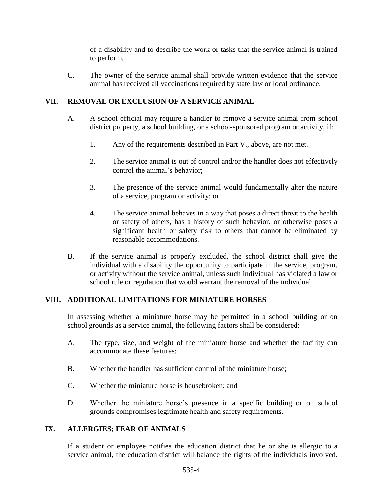of a disability and to describe the work or tasks that the service animal is trained to perform.

C. The owner of the service animal shall provide written evidence that the service animal has received all vaccinations required by state law or local ordinance.

## **VII. REMOVAL OR EXCLUSION OF A SERVICE ANIMAL**

- A. A school official may require a handler to remove a service animal from school district property, a school building, or a school-sponsored program or activity, if:
	- 1. Any of the requirements described in Part V., above, are not met.
	- 2. The service animal is out of control and/or the handler does not effectively control the animal's behavior;
	- 3. The presence of the service animal would fundamentally alter the nature of a service, program or activity; or
	- 4. The service animal behaves in a way that poses a direct threat to the health or safety of others, has a history of such behavior, or otherwise poses a significant health or safety risk to others that cannot be eliminated by reasonable accommodations.
- B. If the service animal is properly excluded, the school district shall give the individual with a disability the opportunity to participate in the service, program, or activity without the service animal, unless such individual has violated a law or school rule or regulation that would warrant the removal of the individual.

### **VIII. ADDITIONAL LIMITATIONS FOR MINIATURE HORSES**

In assessing whether a miniature horse may be permitted in a school building or on school grounds as a service animal, the following factors shall be considered:

- A. The type, size, and weight of the miniature horse and whether the facility can accommodate these features;
- B. Whether the handler has sufficient control of the miniature horse;
- C. Whether the miniature horse is housebroken; and
- D. Whether the miniature horse's presence in a specific building or on school grounds compromises legitimate health and safety requirements.

### **IX. ALLERGIES; FEAR OF ANIMALS**

If a student or employee notifies the education district that he or she is allergic to a service animal, the education district will balance the rights of the individuals involved.